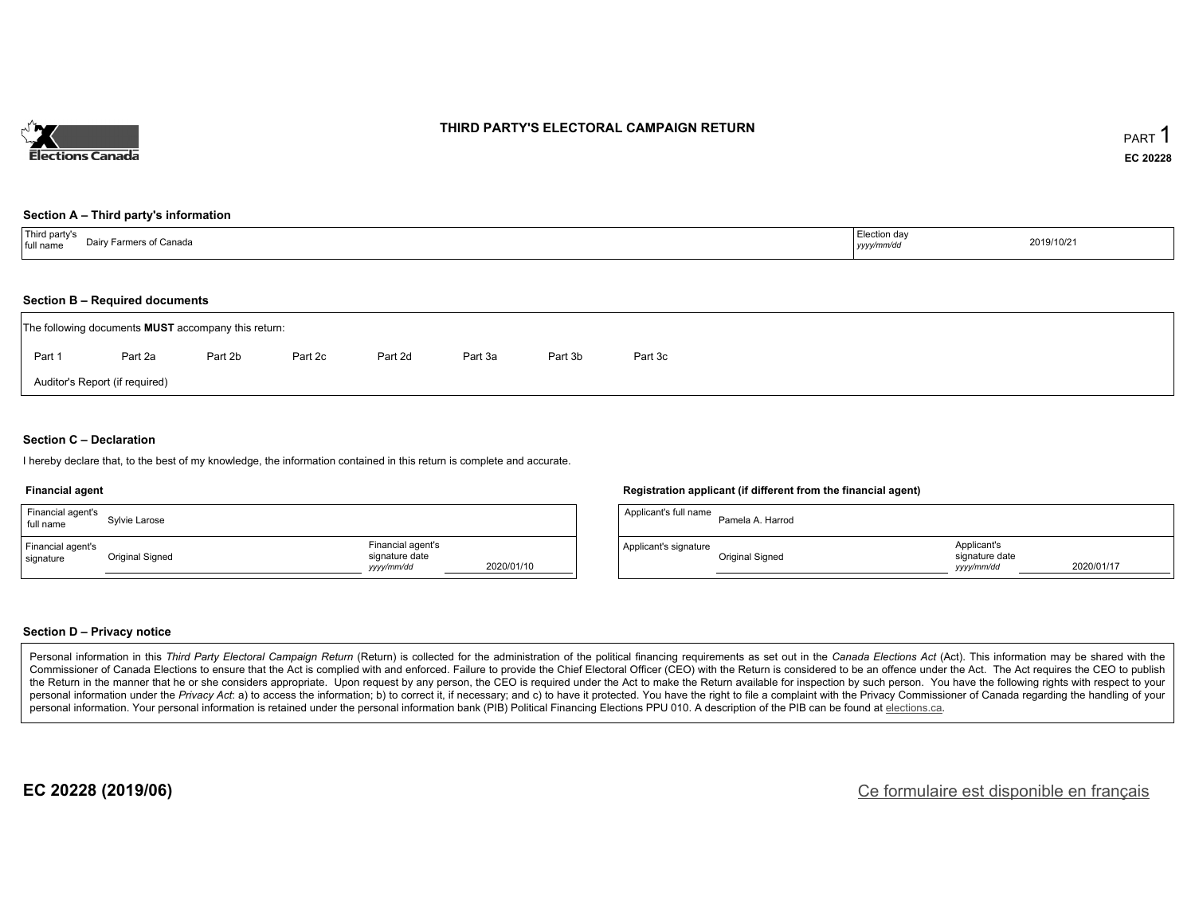

## **THIRD PARTY'S ELECTORAL CAMPAIGN RETURN**

#### **Section A – Third party's information**

| Third party's<br>Dairy Farmers of Canada<br>full name<br>$\cdots$ | Election day<br>yyyy/mm/dd | 2019/10/21 |
|-------------------------------------------------------------------|----------------------------|------------|
|-------------------------------------------------------------------|----------------------------|------------|

#### **Section B – Required documents**

| The following documents <b>MUST</b> accompany this return: |         |         |         |         |         |         |         |  |  |  |
|------------------------------------------------------------|---------|---------|---------|---------|---------|---------|---------|--|--|--|
| Part 1                                                     | Part 2a | Part 2b | Part 2c | Part 2d | Part 3a | Part 3b | Part 3c |  |  |  |
| Auditor's Report (if required)                             |         |         |         |         |         |         |         |  |  |  |

### **Section C – Declaration**

I hereby declare that, to the best of my knowledge, the information contained in this return is complete and accurate.

#### **Financial agent**

| Financial agent's<br>full name | Sylvie Larose   |                                                   |            | Applicant's full name | Pa       |
|--------------------------------|-----------------|---------------------------------------------------|------------|-----------------------|----------|
| Financial agent's<br>signature | Original Signed | Financial agent's<br>signature date<br>yyyy/mm/dd | 2020/01/10 | Applicant's signature | Or<br>__ |

#### **Registration applicant (if different from the financial agent)**

| Applicant's full name | Pamela A. Harrod |                                             |            |
|-----------------------|------------------|---------------------------------------------|------------|
| Applicant's signature | Original Signed  | Applicant's<br>signature date<br>vyyy/mm/dd | 2020/01/17 |

#### **Section D – Privacy notice**

Personal information in this Third Party Electoral Campaign Return (Return) is collected for the administration of the political financing requirements as set out in the Canada Elections Act (Act). This information may be Commissioner of Canada Elections to ensure that the Act is complied with and enforced. Failure to provide the Chief Electoral Officer (CEO) with the Return is considered to be an offence under the Act. The Act requires the the Return in the manner that he or she considers appropriate. Upon request by any person, the CEO is required under the Act to make the Return available for inspection by such person. You have the following rights with re personal information under the Privacy Act: a) to access the information; b) to correct it, if necessary; and c) to have it protected. You have the right to file a complaint with the Privacy Commissioner of Canada regardin personal information. Your personal information is retained under the personal information bank (PIB) Political Financing Elections PPU 010. A description of the PIB can be found at elections.ca.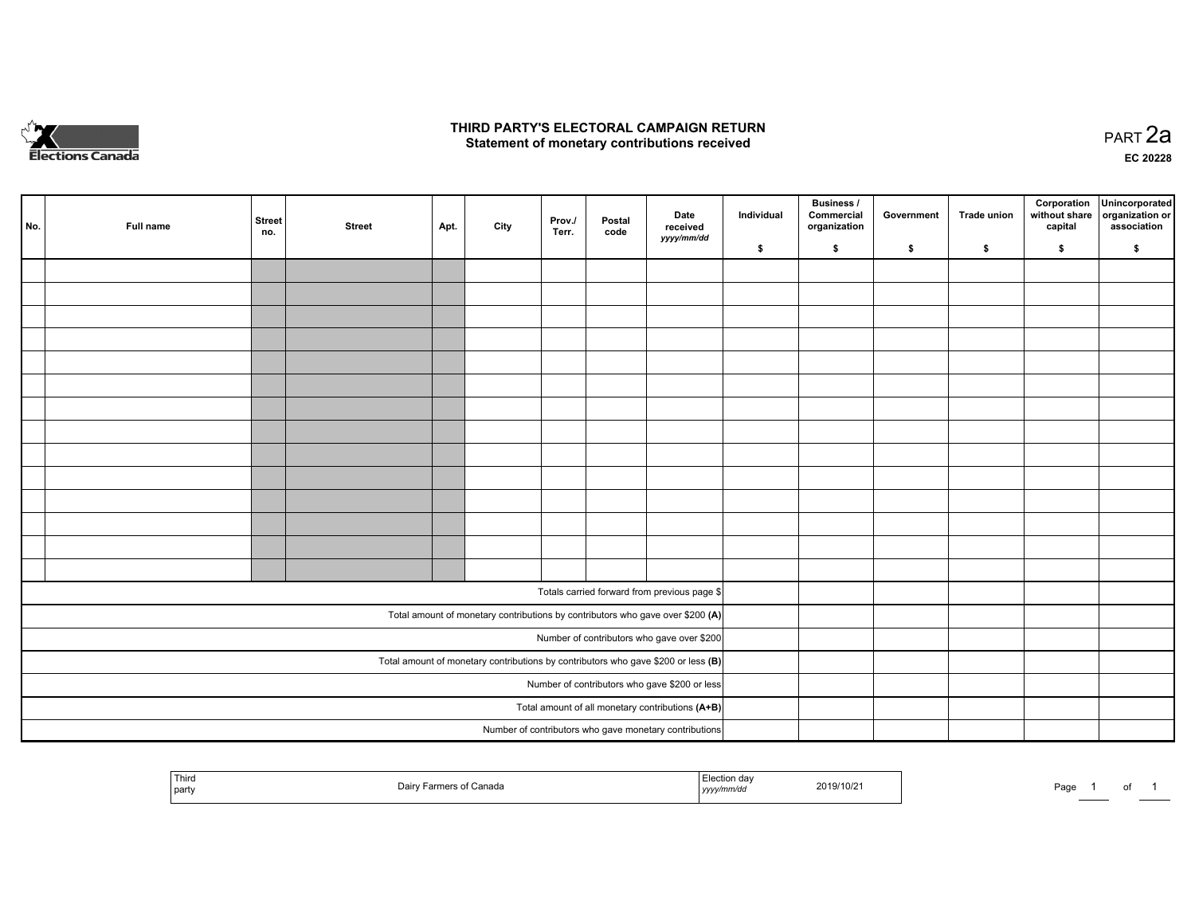

## **THIRD PARTY'S ELECTORAL CAMPAIGN RETURN HIRD PARTY'S ELECTORAL CAMPAIGN RETURN<br>Statement of monetary contributions received PART 2a PART 2a**

**EC 20228**

| No. | Full name | <b>Street</b><br>no. | <b>Street</b> | Apt. | City | Prov./<br>Terr. | Postal<br>code | Date<br>received                                                                    | Individual | <b>Business /</b><br>Commercial<br>organization | Government | Trade union | Corporation<br>without share<br>capital | Unincorporated<br>organization or<br>association |
|-----|-----------|----------------------|---------------|------|------|-----------------|----------------|-------------------------------------------------------------------------------------|------------|-------------------------------------------------|------------|-------------|-----------------------------------------|--------------------------------------------------|
|     |           |                      |               |      |      |                 |                | yyyy/mm/dd                                                                          | \$         | \$                                              | \$         | \$          | \$                                      | \$                                               |
|     |           |                      |               |      |      |                 |                |                                                                                     |            |                                                 |            |             |                                         |                                                  |
|     |           |                      |               |      |      |                 |                |                                                                                     |            |                                                 |            |             |                                         |                                                  |
|     |           |                      |               |      |      |                 |                |                                                                                     |            |                                                 |            |             |                                         |                                                  |
|     |           |                      |               |      |      |                 |                |                                                                                     |            |                                                 |            |             |                                         |                                                  |
|     |           |                      |               |      |      |                 |                |                                                                                     |            |                                                 |            |             |                                         |                                                  |
|     |           |                      |               |      |      |                 |                |                                                                                     |            |                                                 |            |             |                                         |                                                  |
|     |           |                      |               |      |      |                 |                |                                                                                     |            |                                                 |            |             |                                         |                                                  |
|     |           |                      |               |      |      |                 |                |                                                                                     |            |                                                 |            |             |                                         |                                                  |
|     |           |                      |               |      |      |                 |                |                                                                                     |            |                                                 |            |             |                                         |                                                  |
|     |           |                      |               |      |      |                 |                |                                                                                     |            |                                                 |            |             |                                         |                                                  |
|     |           |                      |               |      |      |                 |                |                                                                                     |            |                                                 |            |             |                                         |                                                  |
|     |           |                      |               |      |      |                 |                |                                                                                     |            |                                                 |            |             |                                         |                                                  |
|     |           |                      |               |      |      |                 |                |                                                                                     |            |                                                 |            |             |                                         |                                                  |
|     |           |                      |               |      |      |                 |                |                                                                                     |            |                                                 |            |             |                                         |                                                  |
|     |           |                      |               |      |      |                 |                | Totals carried forward from previous page \$                                        |            |                                                 |            |             |                                         |                                                  |
|     |           |                      |               |      |      |                 |                | Total amount of monetary contributions by contributors who gave over \$200 (A)      |            |                                                 |            |             |                                         |                                                  |
|     |           |                      |               |      |      |                 |                | Number of contributors who gave over \$200                                          |            |                                                 |            |             |                                         |                                                  |
|     |           |                      |               |      |      |                 |                | Total amount of monetary contributions by contributors who gave \$200 or less $(B)$ |            |                                                 |            |             |                                         |                                                  |
|     |           |                      |               |      |      |                 |                | Number of contributors who gave \$200 or less                                       |            |                                                 |            |             |                                         |                                                  |
|     |           |                      |               |      |      |                 |                | Total amount of all monetary contributions (A+B)                                    |            |                                                 |            |             |                                         |                                                  |
|     |           |                      |               |      |      |                 |                | Number of contributors who gave monetary contributions                              |            |                                                 |            |             |                                         |                                                  |

| <b>Contract Contract Contract</b><br>Third<br>part | יובנ<br><br>wanauc | . .<br>,,,,, | 2019/10/2<br>the contract of the contract of the contract of the contract of the contract of | Pag∈ |  |  |  |
|----------------------------------------------------|--------------------|--------------|----------------------------------------------------------------------------------------------|------|--|--|--|
|----------------------------------------------------|--------------------|--------------|----------------------------------------------------------------------------------------------|------|--|--|--|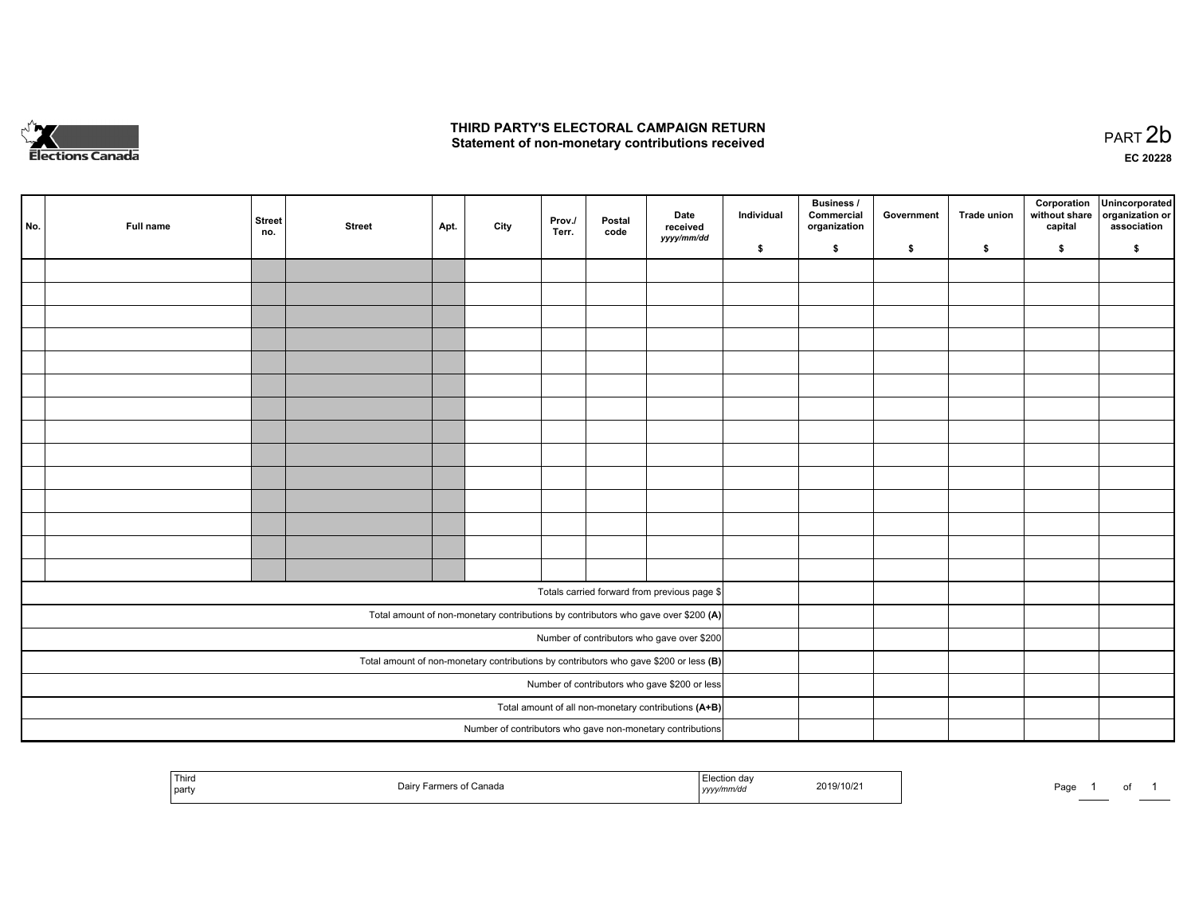

## **THIRD PARTY'S ELECTORAL CAMPAIGN RETURN**  THIRD PARTY'S ELECTORAL CAMPAIGN RETURN<br>Statement of non-monetary contributions received

of 1

| No. | Full name | <b>Street</b><br>no. | <b>Street</b> | Apt. | City | Prov.<br>Terr. | Postal<br>code | Date<br>received<br>yyyy/mm/dd                                                          | Individual | <b>Business /</b><br>Commercial<br>organization | Government | Trade union | Corporation<br>without share<br>capital | Unincorporated<br>organization or<br>association |
|-----|-----------|----------------------|---------------|------|------|----------------|----------------|-----------------------------------------------------------------------------------------|------------|-------------------------------------------------|------------|-------------|-----------------------------------------|--------------------------------------------------|
|     |           |                      |               |      |      |                |                |                                                                                         | \$         | \$                                              | \$         | \$          | \$                                      | \$                                               |
|     |           |                      |               |      |      |                |                |                                                                                         |            |                                                 |            |             |                                         |                                                  |
|     |           |                      |               |      |      |                |                |                                                                                         |            |                                                 |            |             |                                         |                                                  |
|     |           |                      |               |      |      |                |                |                                                                                         |            |                                                 |            |             |                                         |                                                  |
|     |           |                      |               |      |      |                |                |                                                                                         |            |                                                 |            |             |                                         |                                                  |
|     |           |                      |               |      |      |                |                |                                                                                         |            |                                                 |            |             |                                         |                                                  |
|     |           |                      |               |      |      |                |                |                                                                                         |            |                                                 |            |             |                                         |                                                  |
|     |           |                      |               |      |      |                |                |                                                                                         |            |                                                 |            |             |                                         |                                                  |
|     |           |                      |               |      |      |                |                |                                                                                         |            |                                                 |            |             |                                         |                                                  |
|     |           |                      |               |      |      |                |                |                                                                                         |            |                                                 |            |             |                                         |                                                  |
|     |           |                      |               |      |      |                |                |                                                                                         |            |                                                 |            |             |                                         |                                                  |
|     |           |                      |               |      |      |                |                |                                                                                         |            |                                                 |            |             |                                         |                                                  |
|     |           |                      |               |      |      |                |                |                                                                                         |            |                                                 |            |             |                                         |                                                  |
|     |           |                      |               |      |      |                |                |                                                                                         |            |                                                 |            |             |                                         |                                                  |
|     |           |                      |               |      |      |                |                |                                                                                         |            |                                                 |            |             |                                         |                                                  |
|     |           |                      |               |      |      |                |                |                                                                                         |            |                                                 |            |             |                                         |                                                  |
|     |           |                      |               |      |      |                |                | Totals carried forward from previous page \$                                            |            |                                                 |            |             |                                         |                                                  |
|     |           |                      |               |      |      |                |                | Total amount of non-monetary contributions by contributors who gave over \$200 (A)      |            |                                                 |            |             |                                         |                                                  |
|     |           |                      |               |      |      |                |                | Number of contributors who gave over \$200                                              |            |                                                 |            |             |                                         |                                                  |
|     |           |                      |               |      |      |                |                | Total amount of non-monetary contributions by contributors who gave \$200 or less $(B)$ |            |                                                 |            |             |                                         |                                                  |
|     |           |                      |               |      |      |                |                | Number of contributors who gave \$200 or less                                           |            |                                                 |            |             |                                         |                                                  |
|     |           |                      |               |      |      |                |                | Total amount of all non-monetary contributions (A+B)                                    |            |                                                 |            |             |                                         |                                                  |
|     |           |                      |               |      |      |                |                | Number of contributors who gave non-monetary contributions                              |            |                                                 |            |             |                                         |                                                  |
|     |           |                      |               |      |      |                |                |                                                                                         |            |                                                 |            |             |                                         |                                                  |

| Third<br>party | of Canada<br>Dairy<br>Farmers | Election dav<br>2019/10/21<br>yyyy/mm/dc | Page<br>______ |
|----------------|-------------------------------|------------------------------------------|----------------|
|----------------|-------------------------------|------------------------------------------|----------------|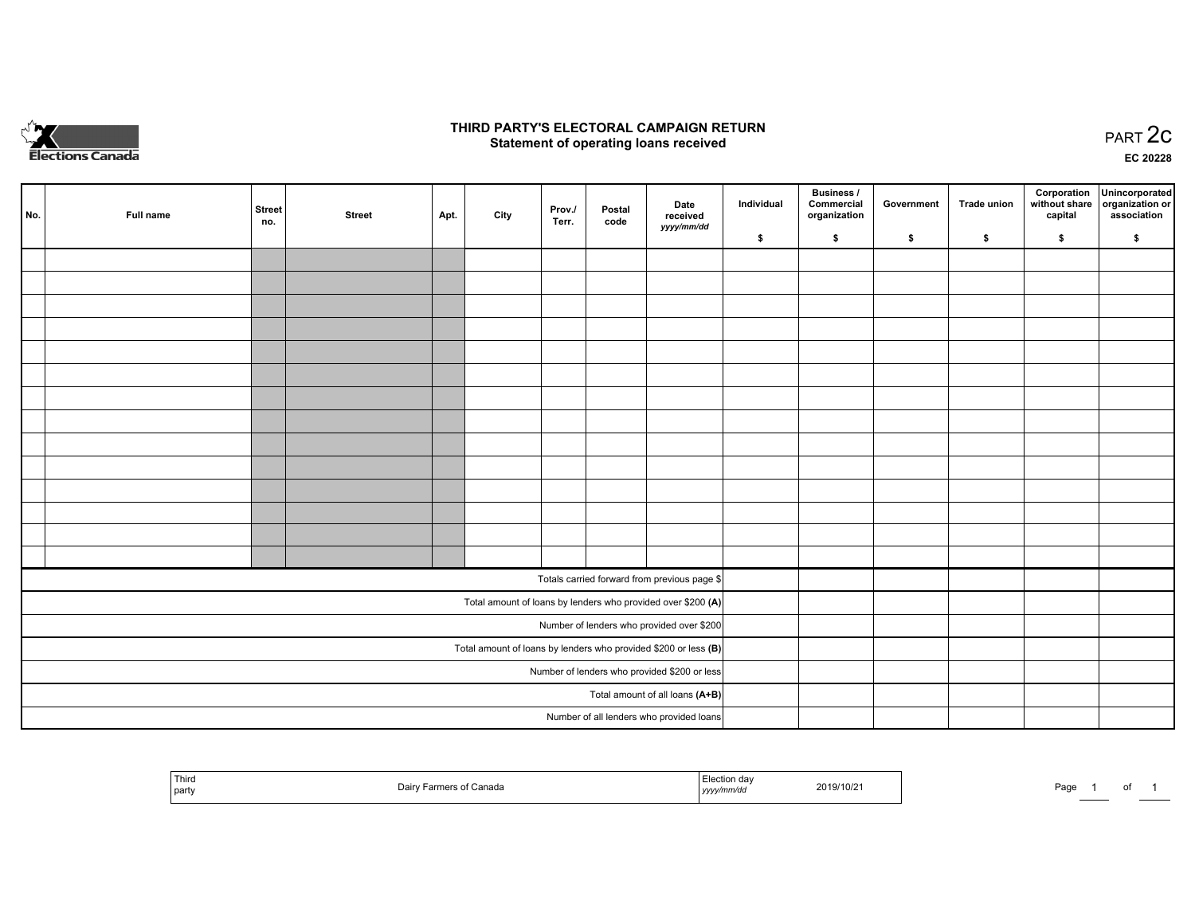

## **THIRD PARTY'S ELECTORAL CAMPAIGN RETURN STATE:** PRACT OF OPPRESS TO PART 2C STATE STATE STATE STATE STATE STATE STATE STATE STATE STATE STATE STATE STA<br>PART 2C Statement of operating loans received

**EC 20228**

| No.                                          | Full name | <b>Street</b><br>no. | <b>Street</b> | Apt. | City | Prov./<br>Terr. | Postal<br>code | Date<br>received                                                | Individual | <b>Business /</b><br>Commercial<br>organization | Government | Trade union | capital | Corporation Unincorporated<br>without share   organization or<br>association |
|----------------------------------------------|-----------|----------------------|---------------|------|------|-----------------|----------------|-----------------------------------------------------------------|------------|-------------------------------------------------|------------|-------------|---------|------------------------------------------------------------------------------|
|                                              |           |                      |               |      |      |                 |                | yyyy/mm/dd                                                      | \$         | \$                                              | \$         | \$          | \$      | \$                                                                           |
|                                              |           |                      |               |      |      |                 |                |                                                                 |            |                                                 |            |             |         |                                                                              |
|                                              |           |                      |               |      |      |                 |                |                                                                 |            |                                                 |            |             |         |                                                                              |
|                                              |           |                      |               |      |      |                 |                |                                                                 |            |                                                 |            |             |         |                                                                              |
|                                              |           |                      |               |      |      |                 |                |                                                                 |            |                                                 |            |             |         |                                                                              |
|                                              |           |                      |               |      |      |                 |                |                                                                 |            |                                                 |            |             |         |                                                                              |
|                                              |           |                      |               |      |      |                 |                |                                                                 |            |                                                 |            |             |         |                                                                              |
|                                              |           |                      |               |      |      |                 |                |                                                                 |            |                                                 |            |             |         |                                                                              |
|                                              |           |                      |               |      |      |                 |                |                                                                 |            |                                                 |            |             |         |                                                                              |
|                                              |           |                      |               |      |      |                 |                |                                                                 |            |                                                 |            |             |         |                                                                              |
|                                              |           |                      |               |      |      |                 |                |                                                                 |            |                                                 |            |             |         |                                                                              |
|                                              |           |                      |               |      |      |                 |                |                                                                 |            |                                                 |            |             |         |                                                                              |
|                                              |           |                      |               |      |      |                 |                |                                                                 |            |                                                 |            |             |         |                                                                              |
|                                              |           |                      |               |      |      |                 |                |                                                                 |            |                                                 |            |             |         |                                                                              |
|                                              |           |                      |               |      |      |                 |                |                                                                 |            |                                                 |            |             |         |                                                                              |
|                                              |           |                      |               |      |      |                 |                | Totals carried forward from previous page \$                    |            |                                                 |            |             |         |                                                                              |
|                                              |           |                      |               |      |      |                 |                | Total amount of loans by lenders who provided over \$200 (A)    |            |                                                 |            |             |         |                                                                              |
|                                              |           |                      |               |      |      |                 |                | Number of lenders who provided over \$200                       |            |                                                 |            |             |         |                                                                              |
|                                              |           |                      |               |      |      |                 |                | Total amount of loans by lenders who provided \$200 or less (B) |            |                                                 |            |             |         |                                                                              |
| Number of lenders who provided \$200 or less |           |                      |               |      |      |                 |                |                                                                 |            |                                                 |            |             |         |                                                                              |
|                                              |           |                      |               |      |      |                 |                | Total amount of all loans (A+B)                                 |            |                                                 |            |             |         |                                                                              |
|                                              |           |                      |               |      |      |                 |                | Number of all lenders who provided loans                        |            |                                                 |            |             |         |                                                                              |

| Third<br>party | Canada<br>Dair<br>. | 2019/10/2<br>the contract of the contract of the contract of<br>, , , , <u>,</u> | Page |
|----------------|---------------------|----------------------------------------------------------------------------------|------|
|----------------|---------------------|----------------------------------------------------------------------------------|------|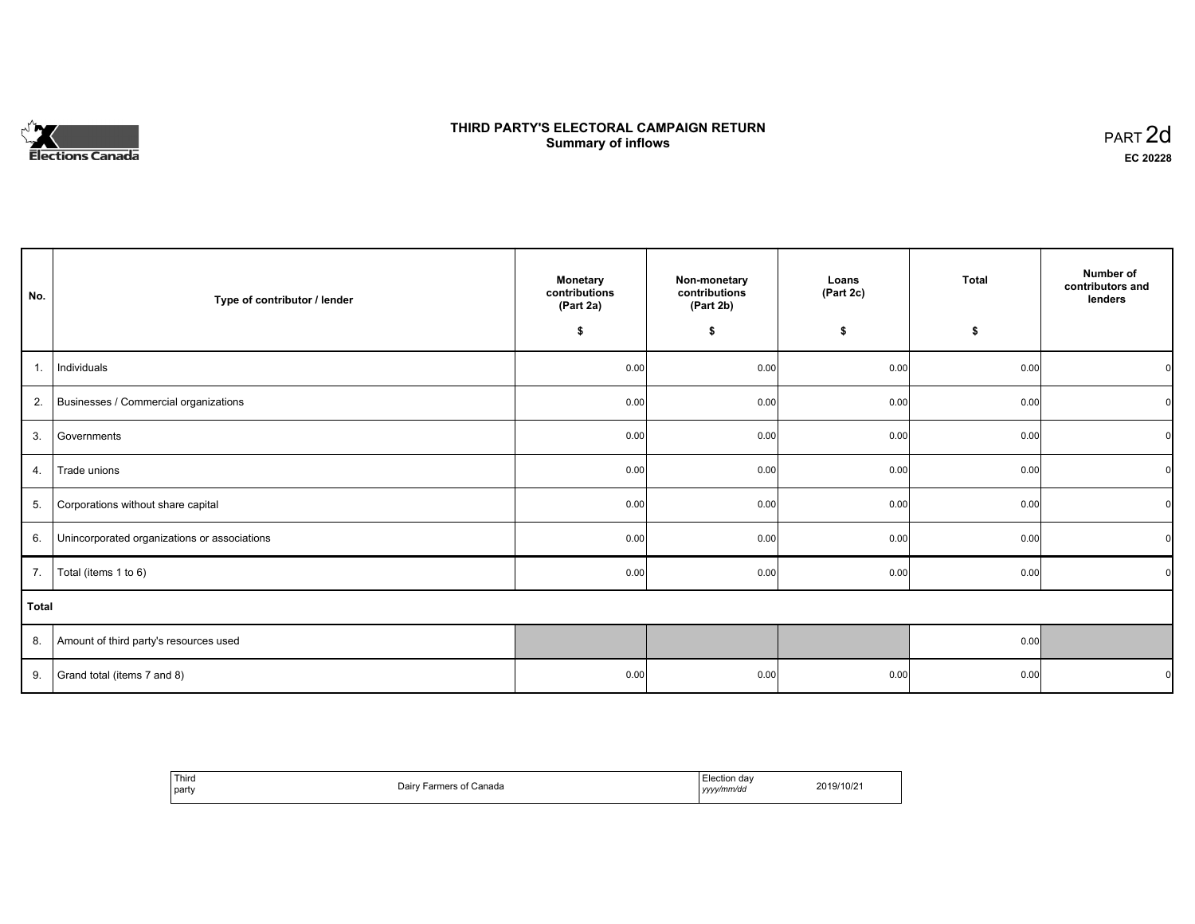# **Elections Canada**

# **THIRD PARTY'S ELECTORAL CAMPAIGN RETURN Summary of inflows**

| PART <sub>2d</sub> |  |
|--------------------|--|
| EC 20228           |  |

| No.   | Type of contributor / lender                 | <b>Monetary</b><br>contributions<br>(Part 2a) | Non-monetary<br>contributions<br>(Part 2b) | Loans<br>(Part 2c) | Total | Number of<br>contributors and<br>lenders |
|-------|----------------------------------------------|-----------------------------------------------|--------------------------------------------|--------------------|-------|------------------------------------------|
|       |                                              | \$                                            | \$                                         | \$                 | \$    |                                          |
| 1.    | Individuals                                  | 0.00                                          | 0.00                                       | 0.00               | 0.00  | $\Omega$                                 |
| 2.    | Businesses / Commercial organizations        | 0.00                                          | 0.00                                       | 0.00               | 0.00  | $\Omega$                                 |
| 3.    | Governments                                  | 0.00                                          | 0.00                                       | 0.00               | 0.00  | $\Omega$                                 |
| 4.    | Trade unions                                 | 0.00                                          | 0.00                                       | 0.00               | 0.00  |                                          |
| 5.    | Corporations without share capital           | 0.00                                          | 0.00                                       | 0.00               | 0.00  | $\Omega$                                 |
| 6.    | Unincorporated organizations or associations | 0.00                                          | 0.00                                       | 0.00               | 0.00  | $\overline{0}$                           |
| 7.    | Total (items 1 to 6)                         | 0.00                                          | 0.00                                       | 0.00               | 0.00  | $\Omega$                                 |
| Total |                                              |                                               |                                            |                    |       |                                          |
| 8.    | Amount of third party's resources used       |                                               |                                            |                    | 0.00  |                                          |
| 9.    | Grand total (items 7 and 8)                  | 0.00                                          | 0.00                                       | 0.00               | 0.00  |                                          |

| <sup>'</sup> Third<br>part | ੁof Canada<br>Dairy Farmers of | Election day<br>vyyy/mm/dd<br><i>yyyy</i> | 2019/10/21 |
|----------------------------|--------------------------------|-------------------------------------------|------------|
|----------------------------|--------------------------------|-------------------------------------------|------------|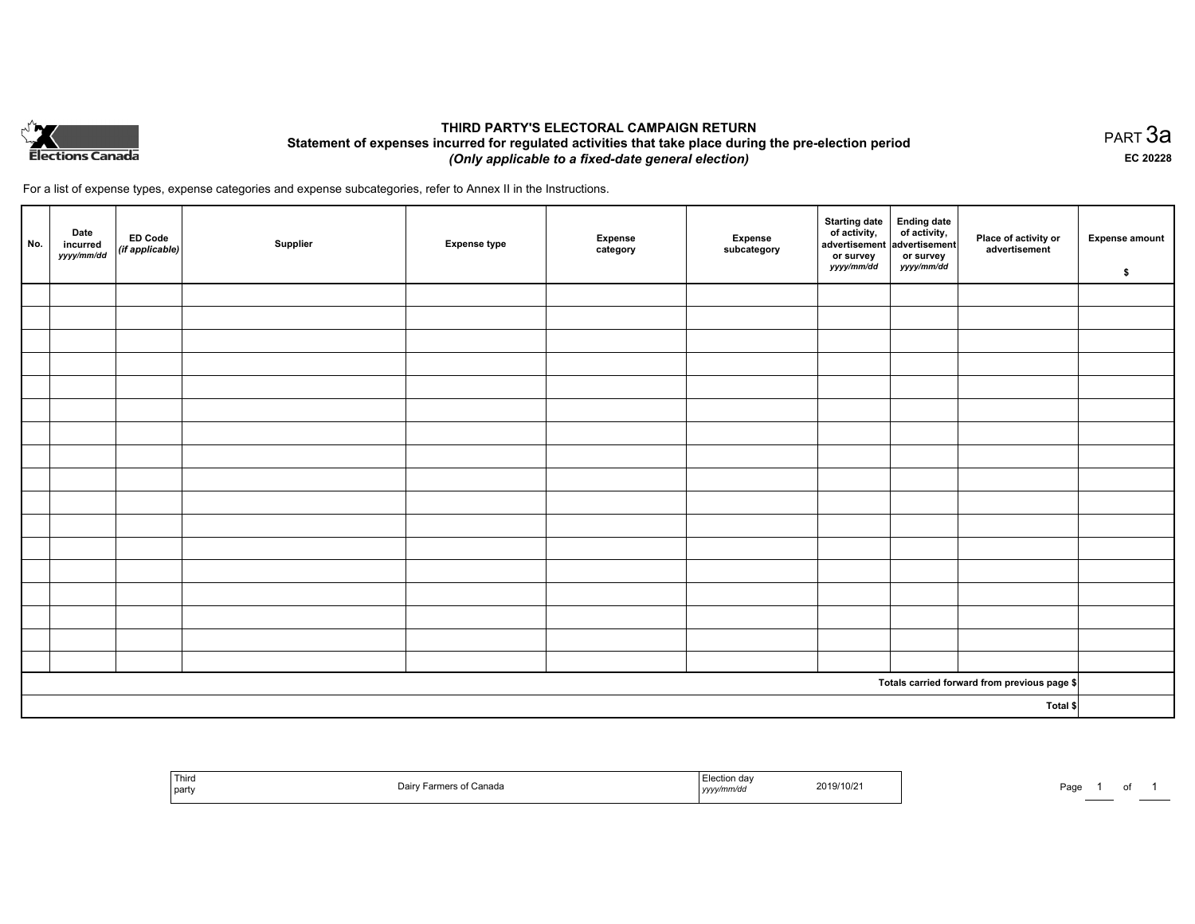

# **THIRD PARTY'S ELECTORAL CAMPAIGN RETURN Statement of expenses incurred for regulated activities that take place during the pre-election period**  *(Only applicable to a fixed-date general election)*

For a list of expense types, expense categories and expense subcategories, refer to Annex II in the Instructions.

| No.      | Date<br>incurred<br>yyyy/mm/dd | $\left  \begin{array}{c} \text{ED Code} \\ (\text{if applicable}) \end{array} \right $ | Supplier | <b>Expense type</b> | Expense<br>category | Expense<br>subcategory | <b>Starting date</b><br>of activity,<br>advertisement<br>or survey<br>yyyy/mm/dd | Ending date<br>of activity,<br>advertisement<br>or survey<br>yyyy/mm/dd | Place of activity or<br>advertisement        | <b>Expense amount</b><br>\$ |
|----------|--------------------------------|----------------------------------------------------------------------------------------|----------|---------------------|---------------------|------------------------|----------------------------------------------------------------------------------|-------------------------------------------------------------------------|----------------------------------------------|-----------------------------|
|          |                                |                                                                                        |          |                     |                     |                        |                                                                                  |                                                                         |                                              |                             |
|          |                                |                                                                                        |          |                     |                     |                        |                                                                                  |                                                                         |                                              |                             |
|          |                                |                                                                                        |          |                     |                     |                        |                                                                                  |                                                                         |                                              |                             |
|          |                                |                                                                                        |          |                     |                     |                        |                                                                                  |                                                                         |                                              |                             |
|          |                                |                                                                                        |          |                     |                     |                        |                                                                                  |                                                                         |                                              |                             |
|          |                                |                                                                                        |          |                     |                     |                        |                                                                                  |                                                                         |                                              |                             |
|          |                                |                                                                                        |          |                     |                     |                        |                                                                                  |                                                                         |                                              |                             |
|          |                                |                                                                                        |          |                     |                     |                        |                                                                                  |                                                                         |                                              |                             |
|          |                                |                                                                                        |          |                     |                     |                        |                                                                                  |                                                                         |                                              |                             |
|          |                                |                                                                                        |          |                     |                     |                        |                                                                                  |                                                                         |                                              |                             |
|          |                                |                                                                                        |          |                     |                     |                        |                                                                                  |                                                                         |                                              |                             |
|          |                                |                                                                                        |          |                     |                     |                        |                                                                                  |                                                                         |                                              |                             |
|          |                                |                                                                                        |          |                     |                     |                        |                                                                                  |                                                                         |                                              |                             |
|          |                                |                                                                                        |          |                     |                     |                        |                                                                                  |                                                                         |                                              |                             |
|          |                                |                                                                                        |          |                     |                     |                        |                                                                                  |                                                                         |                                              |                             |
|          |                                |                                                                                        |          |                     |                     |                        |                                                                                  |                                                                         |                                              |                             |
|          |                                |                                                                                        |          |                     |                     |                        |                                                                                  |                                                                         |                                              |                             |
|          |                                |                                                                                        |          |                     |                     |                        |                                                                                  |                                                                         | Totals carried forward from previous page \$ |                             |
| Total \$ |                                |                                                                                        |          |                     |                     |                        |                                                                                  |                                                                         |                                              |                             |

| <sup>I</sup> Third<br>l party | Doir-<br>Canada<br>"⊔dli | nа<br>2019/10/2<br><i>uuvu</i><br>the contract of the contract of the contract of the contract of the contract of<br>,,,,, | Doo.<br>ay. |
|-------------------------------|--------------------------|----------------------------------------------------------------------------------------------------------------------------|-------------|
|-------------------------------|--------------------------|----------------------------------------------------------------------------------------------------------------------------|-------------|

PART 3a **EC 20228**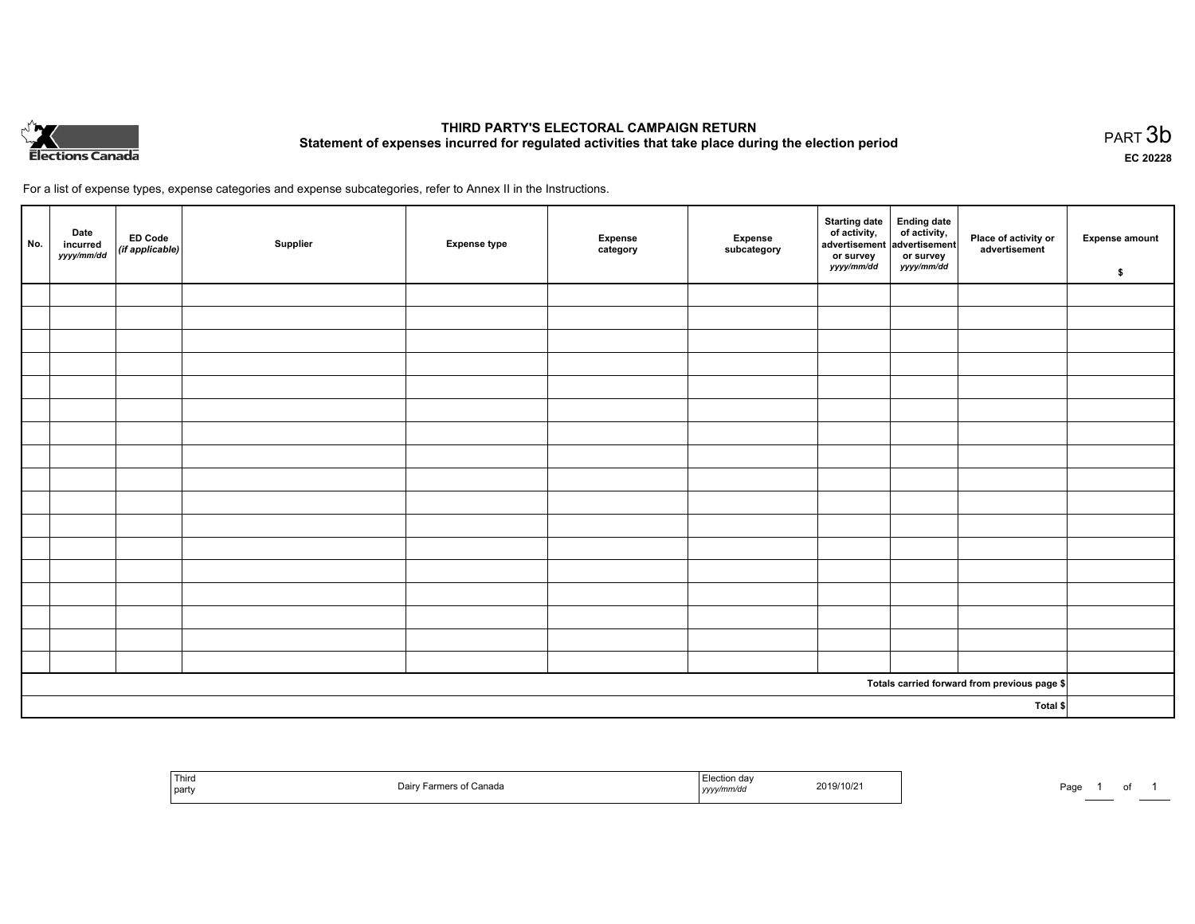

# **THIRD PARTY'S ELECTORAL CAMPAIGN RETURN Statement of expenses incurred for regulated activities that take place during the election period**<br>PART  $3\mathsf{b}$

**EC 20228**

of 1

For a list of expense types, expense categories and expense subcategories, refer to Annex II in the Instructions.

| No.      | Date<br>incurred<br>yyyy/mm/dd | ED Code<br>(if applicable) | Supplier | <b>Expense type</b> | Expense<br>category | Expense<br>subcategory | Starting date Ending date<br>of activity, of activity,<br>advertisement advertisement<br>or survey<br>yyyy/mm/dd | or survey<br>yyyy/mm/dd | Place of activity or<br>advertisement        | <b>Expense amount</b><br>\$ |
|----------|--------------------------------|----------------------------|----------|---------------------|---------------------|------------------------|------------------------------------------------------------------------------------------------------------------|-------------------------|----------------------------------------------|-----------------------------|
|          |                                |                            |          |                     |                     |                        |                                                                                                                  |                         |                                              |                             |
|          |                                |                            |          |                     |                     |                        |                                                                                                                  |                         |                                              |                             |
|          |                                |                            |          |                     |                     |                        |                                                                                                                  |                         |                                              |                             |
|          |                                |                            |          |                     |                     |                        |                                                                                                                  |                         |                                              |                             |
|          |                                |                            |          |                     |                     |                        |                                                                                                                  |                         |                                              |                             |
|          |                                |                            |          |                     |                     |                        |                                                                                                                  |                         |                                              |                             |
|          |                                |                            |          |                     |                     |                        |                                                                                                                  |                         |                                              |                             |
|          |                                |                            |          |                     |                     |                        |                                                                                                                  |                         |                                              |                             |
|          |                                |                            |          |                     |                     |                        |                                                                                                                  |                         |                                              |                             |
|          |                                |                            |          |                     |                     |                        |                                                                                                                  |                         |                                              |                             |
|          |                                |                            |          |                     |                     |                        |                                                                                                                  |                         |                                              |                             |
|          |                                |                            |          |                     |                     |                        |                                                                                                                  |                         |                                              |                             |
|          |                                |                            |          |                     |                     |                        |                                                                                                                  |                         |                                              |                             |
|          |                                |                            |          |                     |                     |                        |                                                                                                                  |                         |                                              |                             |
|          |                                |                            |          |                     |                     |                        |                                                                                                                  |                         |                                              |                             |
|          |                                |                            |          |                     |                     |                        |                                                                                                                  |                         |                                              |                             |
|          |                                |                            |          |                     |                     |                        |                                                                                                                  |                         |                                              |                             |
|          |                                |                            |          |                     |                     |                        |                                                                                                                  |                         | Totals carried forward from previous page \$ |                             |
| Total \$ |                                |                            |          |                     |                     |                        |                                                                                                                  |                         |                                              |                             |

| ' Third<br>`partv | Canada | .<br>2019/10/2<br>mmvac<br>,,,,,<br>$\sim$ $\sim$ | Pag. |
|-------------------|--------|---------------------------------------------------|------|
|-------------------|--------|---------------------------------------------------|------|